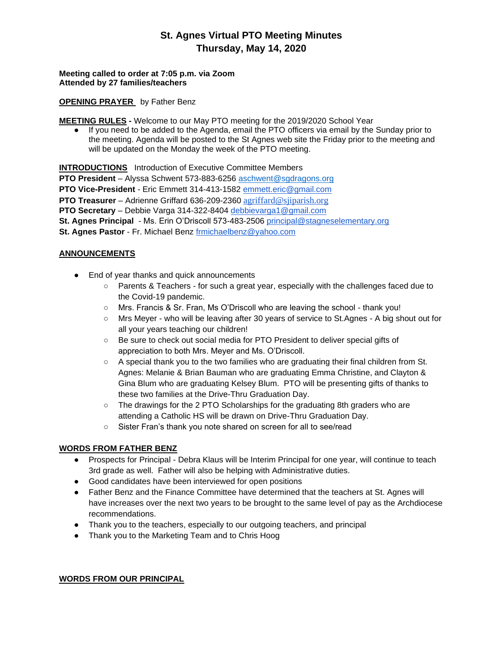## **St. Agnes Virtual PTO Meeting Minutes Thursday, May 14, 2020**

**Meeting called to order at 7:05 p.m. via Zoom Attended by 27 families/teachers** 

#### **OPENING PRAYER** by Father Benz

**MEETING RULES -** Welcome to our May PTO meeting for the 2019/2020 School Year

● If you need to be added to the Agenda, email the PTO officers via email by the Sunday prior to the meeting. Agenda will be posted to the St Agnes web site the Friday prior to the meeting and will be updated on the Monday the week of the PTO meeting.

**INTRODUCTIONS** Introduction of Executive Committee Members

**PTO President** – Alyssa Schwent 573-883-6256 aschwent@sgdragons.org

**PTO Vice-President** - Eric Emmett 314-413-1582 [emmett.eric@gmail.com](mailto:emmett.eric@gmail.com)

**PTO Treasurer** – Adrienne Griffard 636-209-2360 [agriffard@sjiparish.org](mailto:agriffard@stjiparish.org)

**PTO Secretary** – Debbie Varga 314-322-8404 [debbievarga1@gmail.com](mailto:debbievarga1@gmail.com)

**St. Agnes Principal** - Ms. Erin O'Driscoll 573-483-2506 [principal@stagneselementary.org](mailto:principal@stagneselementary.org)

**St. Agnes Pastor** - Fr. Michael Benz [frmichaelbenz@yahoo.com](mailto:frmichaelbenz@yahoo.com)

## **ANNOUNCEMENTS**

- End of year thanks and quick announcements
	- Parents & Teachers for such a great year, especially with the challenges faced due to the Covid-19 pandemic.
	- Mrs. Francis & Sr. Fran, Ms O'Driscoll who are leaving the school thank you!
	- Mrs Meyer who will be leaving after 30 years of service to St.Agnes A big shout out for all your years teaching our children!
	- Be sure to check out social media for PTO President to deliver special gifts of appreciation to both Mrs. Meyer and Ms. O'Driscoll.
	- A special thank you to the two families who are graduating their final children from St. Agnes: Melanie & Brian Bauman who are graduating Emma Christine, and Clayton & Gina Blum who are graduating Kelsey Blum. PTO will be presenting gifts of thanks to these two families at the Drive-Thru Graduation Day.
	- The drawings for the 2 PTO Scholarships for the graduating 8th graders who are attending a Catholic HS will be drawn on Drive-Thru Graduation Day.
	- Sister Fran's thank you note shared on screen for all to see/read

## **WORDS FROM FATHER BENZ**

- Prospects for Principal Debra Klaus will be Interim Principal for one year, will continue to teach 3rd grade as well. Father will also be helping with Administrative duties.
- Good candidates have been interviewed for open positions
- Father Benz and the Finance Committee have determined that the teachers at St. Agnes will have increases over the next two years to be brought to the same level of pay as the Archdiocese recommendations.
- Thank you to the teachers, especially to our outgoing teachers, and principal
- Thank you to the Marketing Team and to Chris Hoog

#### **WORDS FROM OUR PRINCIPAL**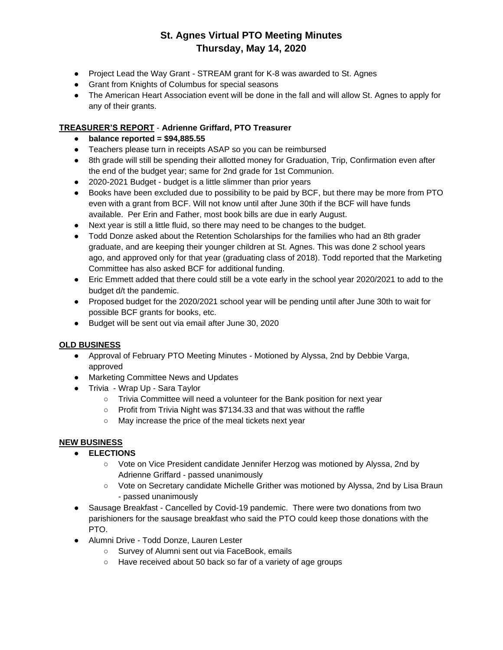# **St. Agnes Virtual PTO Meeting Minutes Thursday, May 14, 2020**

- Project Lead the Way Grant STREAM grant for K-8 was awarded to St. Agnes
- Grant from Knights of Columbus for special seasons
- The American Heart Association event will be done in the fall and will allow St. Agnes to apply for any of their grants.

## **TREASURER'S REPORT** - **Adrienne Griffard, PTO Treasurer**

- **balance reported = \$94,885.55**
- Teachers please turn in receipts ASAP so you can be reimbursed
- 8th grade will still be spending their allotted money for Graduation, Trip, Confirmation even after the end of the budget year; same for 2nd grade for 1st Communion.
- 2020-2021 Budget budget is a little slimmer than prior years
- Books have been excluded due to possibility to be paid by BCF, but there may be more from PTO even with a grant from BCF. Will not know until after June 30th if the BCF will have funds available. Per Erin and Father, most book bills are due in early August.
- Next year is still a little fluid, so there may need to be changes to the budget.
- Todd Donze asked about the Retention Scholarships for the families who had an 8th grader graduate, and are keeping their younger children at St. Agnes. This was done 2 school years ago, and approved only for that year (graduating class of 2018). Todd reported that the Marketing Committee has also asked BCF for additional funding.
- Eric Emmett added that there could still be a vote early in the school year 2020/2021 to add to the budget d/t the pandemic.
- Proposed budget for the 2020/2021 school year will be pending until after June 30th to wait for possible BCF grants for books, etc.
- Budget will be sent out via email after June 30, 2020

## **OLD BUSINESS**

- Approval of February PTO Meeting Minutes Motioned by Alyssa, 2nd by Debbie Varga, approved
- Marketing Committee News and Updates
- Trivia Wrap Up Sara Taylor
	- Trivia Committee will need a volunteer for the Bank position for next year
	- Profit from Trivia Night was \$7134.33 and that was without the raffle
	- May increase the price of the meal tickets next year

## **NEW BUSINESS**

## ● **ELECTIONS**

- Vote on Vice President candidate Jennifer Herzog was motioned by Alyssa, 2nd by Adrienne Griffard - passed unanimously
- Vote on Secretary candidate Michelle Grither was motioned by Alyssa, 2nd by Lisa Braun - passed unanimously
- Sausage Breakfast Cancelled by Covid-19 pandemic. There were two donations from two parishioners for the sausage breakfast who said the PTO could keep those donations with the PTO.
- Alumni Drive Todd Donze, Lauren Lester
	- Survey of Alumni sent out via FaceBook, emails
	- Have received about 50 back so far of a variety of age groups